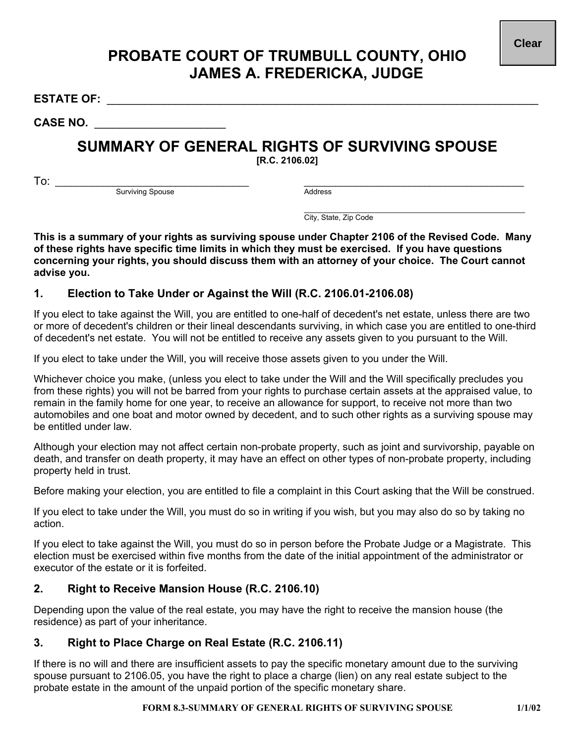## **PROBATE COURT OF TRUMBULL COUNTY, OHIO JAMES A. FREDERICKA, JUDGE**

**ESTATE OF:** \_\_\_\_\_\_\_\_\_\_\_\_\_\_\_\_\_\_\_\_\_\_\_\_\_\_\_\_\_\_\_\_\_\_\_\_\_\_\_\_\_\_\_\_\_\_\_\_\_\_\_\_\_\_\_\_\_\_\_\_\_\_\_\_\_\_\_\_\_

**CASE NO.** \_\_\_\_\_\_\_\_\_\_\_\_\_\_\_\_\_\_\_\_\_

# **SUMMARY OF GENERAL RIGHTS OF SURVIVING SPOUSE**

**[R.C. 2106.02]** 

To: \_\_\_\_\_\_\_\_\_\_\_\_\_\_\_\_\_\_\_\_\_\_\_\_\_\_\_\_\_\_\_\_\_\_\_\_\_ \_\_\_\_\_\_\_\_\_\_\_\_\_\_\_\_\_\_\_\_\_\_\_\_\_\_\_\_\_\_\_\_\_\_\_\_\_\_\_\_\_\_ Surviving Spouse

 $\mathcal{L}_\text{max}$  and  $\mathcal{L}_\text{max}$  and  $\mathcal{L}_\text{max}$  and  $\mathcal{L}_\text{max}$  and  $\mathcal{L}_\text{max}$ City, State, Zip Code

**This is a summary of your rights as surviving spouse under Chapter 2106 of the Revised Code. Many of these rights have specific time limits in which they must be exercised. If you have questions concerning your rights, you should discuss them with an attorney of your choice. The Court cannot advise you.** 

#### **1. Election to Take Under or Against the Will (R.C. 2106.01-2106.08)**

If you elect to take against the Will, you are entitled to one-half of decedent's net estate, unless there are two or more of decedent's children or their lineal descendants surviving, in which case you are entitled to one-third of decedent's net estate. You will not be entitled to receive any assets given to you pursuant to the Will.

If you elect to take under the Will, you will receive those assets given to you under the Will.

Whichever choice you make, (unless you elect to take under the Will and the Will specifically precludes you from these rights) you will not be barred from your rights to purchase certain assets at the appraised value, to remain in the family home for one year, to receive an allowance for support, to receive not more than two automobiles and one boat and motor owned by decedent, and to such other rights as a surviving spouse may be entitled under law.

Although your election may not affect certain non-probate property, such as joint and survivorship, payable on death, and transfer on death property, it may have an effect on other types of non-probate property, including property held in trust.

Before making your election, you are entitled to file a complaint in this Court asking that the Will be construed.

If you elect to take under the Will, you must do so in writing if you wish, but you may also do so by taking no action.

If you elect to take against the Will, you must do so in person before the Probate Judge or a Magistrate. This election must be exercised within five months from the date of the initial appointment of the administrator or executor of the estate or it is forfeited.

### **2. Right to Receive Mansion House (R.C. 2106.10)**

Depending upon the value of the real estate, you may have the right to receive the mansion house (the residence) as part of your inheritance.

### **3. Right to Place Charge on Real Estate (R.C. 2106.11)**

If there is no will and there are insufficient assets to pay the specific monetary amount due to the surviving spouse pursuant to 2106.05, you have the right to place a charge (lien) on any real estate subject to the probate estate in the amount of the unpaid portion of the specific monetary share.